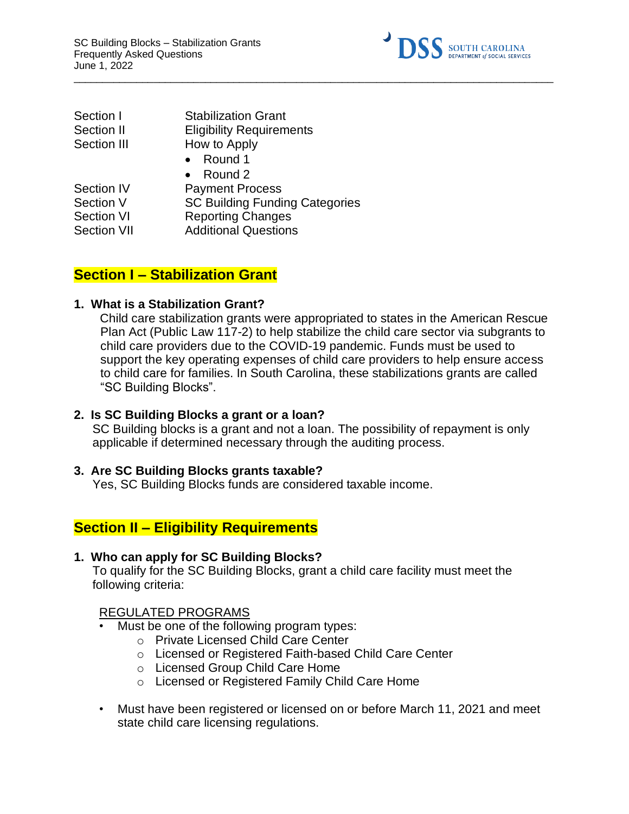

| Section I          | <b>Stabilization Grant</b>            |
|--------------------|---------------------------------------|
| Section II         | <b>Eligibility Requirements</b>       |
| <b>Section III</b> | How to Apply                          |
|                    | $\bullet$ Round 1                     |
|                    | • Round $2$                           |
| <b>Section IV</b>  | <b>Payment Process</b>                |
| Section V          | <b>SC Building Funding Categories</b> |
| <b>Section VI</b>  | <b>Reporting Changes</b>              |
| <b>Section VII</b> | <b>Additional Questions</b>           |
|                    |                                       |

# **Section I – Stabilization Grant**

### **1. What is a Stabilization Grant?**

Child care stabilization grants were appropriated to states in the American Rescue Plan Act (Public Law 117-2) to help stabilize the child care sector via subgrants to child care providers due to the COVID-19 pandemic. Funds must be used to support the key operating expenses of child care providers to help ensure access to child care for families. In South Carolina, these stabilizations grants are called "SC Building Blocks".

 $\_$  ,  $\_$  ,  $\_$  ,  $\_$  ,  $\_$  ,  $\_$  ,  $\_$  ,  $\_$  ,  $\_$  ,  $\_$  ,  $\_$  ,  $\_$  ,  $\_$  ,  $\_$  ,  $\_$  ,  $\_$  ,  $\_$  ,  $\_$  ,  $\_$  ,  $\_$  ,  $\_$  ,  $\_$  ,  $\_$  ,  $\_$  ,  $\_$  ,  $\_$  ,  $\_$  ,  $\_$  ,  $\_$  ,  $\_$  ,  $\_$  ,  $\_$  ,  $\_$  ,  $\_$  ,  $\_$  ,  $\_$  ,  $\_$  ,

### **2. Is SC Building Blocks a grant or a loan?**

SC Building blocks is a grant and not a loan. The possibility of repayment is only applicable if determined necessary through the auditing process.

### **3. Are SC Building Blocks grants taxable?**

Yes, SC Building Blocks funds are considered taxable income.

# **Section II – Eligibility Requirements**

### **1. Who can apply for SC Building Blocks?**

To qualify for the SC Building Blocks, grant a child care facility must meet the following criteria:

### REGULATED PROGRAMS

- Must be one of the following program types:
	- o Private Licensed Child Care Center
	- o Licensed or Registered Faith-based Child Care Center
	- o Licensed Group Child Care Home
	- o Licensed or Registered Family Child Care Home
- Must have been registered or licensed on or before March 11, 2021 and meet state child care licensing regulations.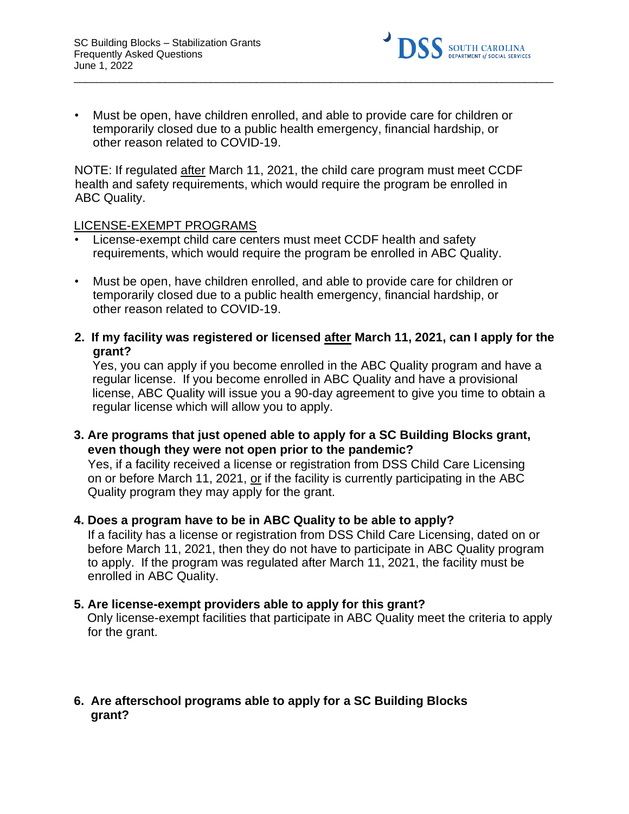

• Must be open, have children enrolled, and able to provide care for children or temporarily closed due to a public health emergency, financial hardship, or other reason related to COVID-19.

 $\_$  ,  $\_$  ,  $\_$  ,  $\_$  ,  $\_$  ,  $\_$  ,  $\_$  ,  $\_$  ,  $\_$  ,  $\_$  ,  $\_$  ,  $\_$  ,  $\_$  ,  $\_$  ,  $\_$  ,  $\_$  ,  $\_$  ,  $\_$  ,  $\_$  ,  $\_$  ,  $\_$  ,  $\_$  ,  $\_$  ,  $\_$  ,  $\_$  ,  $\_$  ,  $\_$  ,  $\_$  ,  $\_$  ,  $\_$  ,  $\_$  ,  $\_$  ,  $\_$  ,  $\_$  ,  $\_$  ,  $\_$  ,  $\_$  ,

NOTE: If regulated after March 11, 2021, the child care program must meet CCDF health and safety requirements, which would require the program be enrolled in ABC Quality.

### LICENSE-EXEMPT PROGRAMS

- License-exempt child care centers must meet CCDF health and safety requirements, which would require the program be enrolled in ABC Quality.
- Must be open, have children enrolled, and able to provide care for children or temporarily closed due to a public health emergency, financial hardship, or other reason related to COVID-19.
- **2. If my facility was registered or licensed after March 11, 2021, can I apply for the grant?**

Yes, you can apply if you become enrolled in the ABC Quality program and have a regular license. If you become enrolled in ABC Quality and have a provisional license, ABC Quality will issue you a 90-day agreement to give you time to obtain a regular license which will allow you to apply.

**3. Are programs that just opened able to apply for a SC Building Blocks grant, even though they were not open prior to the pandemic?** 

Yes, if a facility received a license or registration from DSS Child Care Licensing on or before March 11, 2021, or if the facility is currently participating in the ABC Quality program they may apply for the grant.

### **4. Does a program have to be in ABC Quality to be able to apply?**

If a facility has a license or registration from DSS Child Care Licensing, dated on or before March 11, 2021, then they do not have to participate in ABC Quality program to apply. If the program was regulated after March 11, 2021, the facility must be enrolled in ABC Quality.

### **5. Are license-exempt providers able to apply for this grant?**

Only license-exempt facilities that participate in ABC Quality meet the criteria to apply for the grant.

### **6. Are afterschool programs able to apply for a SC Building Blocks grant?**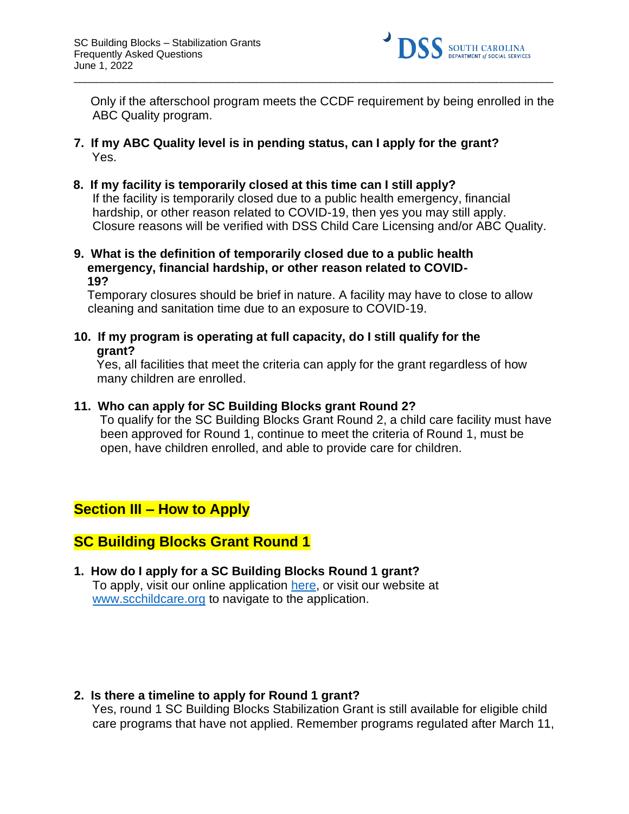

Only if the afterschool program meets the CCDF requirement by being enrolled in the ABC Quality program.

 $\_$  ,  $\_$  ,  $\_$  ,  $\_$  ,  $\_$  ,  $\_$  ,  $\_$  ,  $\_$  ,  $\_$  ,  $\_$  ,  $\_$  ,  $\_$  ,  $\_$  ,  $\_$  ,  $\_$  ,  $\_$  ,  $\_$  ,  $\_$  ,  $\_$  ,  $\_$  ,  $\_$  ,  $\_$  ,  $\_$  ,  $\_$  ,  $\_$  ,  $\_$  ,  $\_$  ,  $\_$  ,  $\_$  ,  $\_$  ,  $\_$  ,  $\_$  ,  $\_$  ,  $\_$  ,  $\_$  ,  $\_$  ,  $\_$  ,

- **7. If my ABC Quality level is in pending status, can I apply for the grant?** Yes.
- **8. If my facility is temporarily closed at this time can I still apply?**  If the facility is temporarily closed due to a public health emergency, financial hardship, or other reason related to COVID-19, then yes you may still apply. Closure reasons will be verified with DSS Child Care Licensing and/or ABC Quality.
- **9. What is the definition of temporarily closed due to a public health emergency, financial hardship, or other reason related to COVID- 19?**

Temporary closures should be brief in nature. A facility may have to close to allow cleaning and sanitation time due to an exposure to COVID-19.

**10. If my program is operating at full capacity, do I still qualify for the grant?** 

Yes, all facilities that meet the criteria can apply for the grant regardless of how many children are enrolled.

### **11. Who can apply for SC Building Blocks grant Round 2?**

To qualify for the SC Building Blocks Grant Round 2, a child care facility must have been approved for Round 1, continue to meet the criteria of Round 1, must be open, have children enrolled, and able to provide care for children.

# **Section III – How to Apply**

# **SC Building Blocks Grant Round 1**

**1. How do I apply for a SC Building Blocks Round 1 grant?**  To apply, visit our online application [here,](https://providerportal.dss.sc.gov/#/dece/provider-grants/building-blocks) or visit our website at [www.scchildcare.org](http://www.scchildcare.org/) [t](http://www.scchildcare.org/)o navigate to the application.

### **2. Is there a timeline to apply for Round 1 grant?**

Yes, round 1 SC Building Blocks Stabilization Grant is still available for eligible child care programs that have not applied. Remember programs regulated after March 11,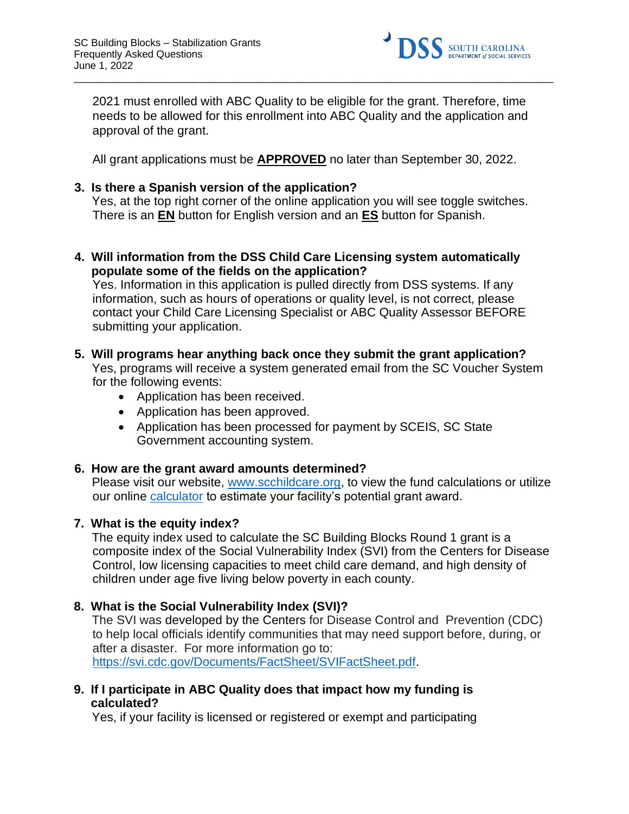

2021 must enrolled with ABC Quality to be eligible for the grant. Therefore, time needs to be allowed for this enrollment into ABC Quality and the application and approval of the grant.

 $\_$  ,  $\_$  ,  $\_$  ,  $\_$  ,  $\_$  ,  $\_$  ,  $\_$  ,  $\_$  ,  $\_$  ,  $\_$  ,  $\_$  ,  $\_$  ,  $\_$  ,  $\_$  ,  $\_$  ,  $\_$  ,  $\_$  ,  $\_$  ,  $\_$  ,  $\_$  ,  $\_$  ,  $\_$  ,  $\_$  ,  $\_$  ,  $\_$  ,  $\_$  ,  $\_$  ,  $\_$  ,  $\_$  ,  $\_$  ,  $\_$  ,  $\_$  ,  $\_$  ,  $\_$  ,  $\_$  ,  $\_$  ,  $\_$  ,

All grant applications must be **APPROVED** no later than September 30, 2022.

### **3. Is there a Spanish version of the application?**

Yes, at the top right corner of the online application you will see toggle switches. There is an **EN** button for English version and an **ES** button for Spanish.

**4. Will information from the DSS Child Care Licensing system automatically populate some of the fields on the application?** 

Yes. Information in this application is pulled directly from DSS systems. If any information, such as hours of operations or quality level, is not correct, please contact your Child Care Licensing Specialist or ABC Quality Assessor BEFORE submitting your application.

### **5. Will programs hear anything back once they submit the grant application?**

Yes, programs will receive a system generated email from the SC Voucher System for the following events:

- Application has been received.
- Application has been approved.
- Application has been processed for payment by SCEIS, SC State Government accounting system.

### **6. How are the grant award amounts determined?**

Please visit our website, [www.scchildcare.org,](http://www.scchildcare.org/) to view the fund calculations or utilize our online [calculator](https://providerportal.dss.sc.gov/#/dece/provider-grants/building-blocks-calculator) to estimate your facility's potential grant award.

### **7. What is the equity index?**

The equity index used to calculate the SC Building Blocks Round 1 grant is a composite index of the Social Vulnerability Index (SVI) from the Centers for Disease Control, low licensing capacities to meet child care demand, and high density of children under age five living below poverty in each county.

### **8. What is the Social Vulnerability Index (SVI)?**

The SVI wa[s](https://www.atsdr.cdc.gov/placeandhealth/svi/index.html) [developed by the](https://www.atsdr.cdc.gov/placeandhealth/svi/index.html) Centers for Disease Control and Prevention (CDC) to help local officials identify communities that may need support before, during, or after a disaster. For more information go to: [https://svi.cdc.gov/Documents/FactSheet/SVIFactSheet.pdf.](https://svi.cdc.gov/Documents/FactSheet/SVIFactSheet.pdf)

**9. If I participate in ABC Quality does that impact how my funding is calculated?** 

Yes, if your facility is licensed or registered or exempt and participating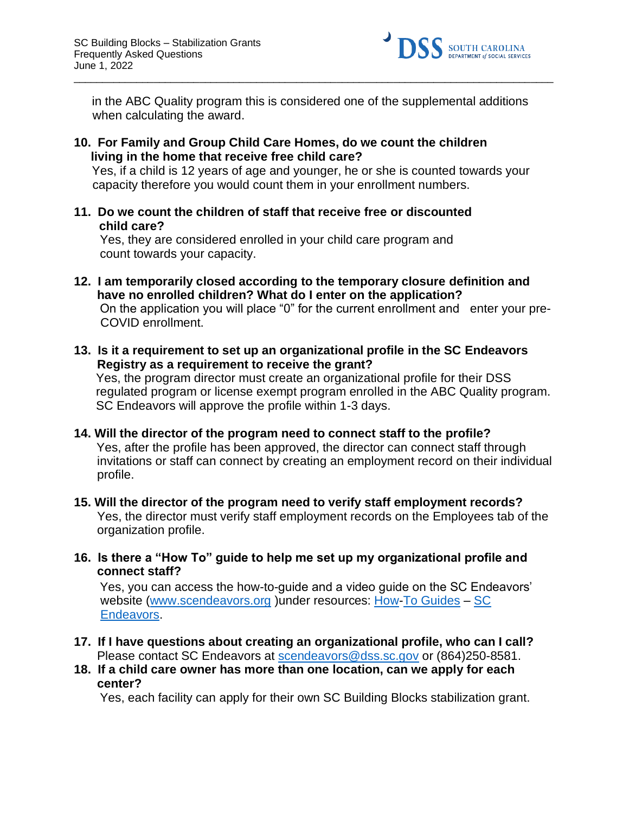

in the ABC Quality program this is considered one of the supplemental additions when calculating the award.

 $\_$  ,  $\_$  ,  $\_$  ,  $\_$  ,  $\_$  ,  $\_$  ,  $\_$  ,  $\_$  ,  $\_$  ,  $\_$  ,  $\_$  ,  $\_$  ,  $\_$  ,  $\_$  ,  $\_$  ,  $\_$  ,  $\_$  ,  $\_$  ,  $\_$  ,  $\_$  ,  $\_$  ,  $\_$  ,  $\_$  ,  $\_$  ,  $\_$  ,  $\_$  ,  $\_$  ,  $\_$  ,  $\_$  ,  $\_$  ,  $\_$  ,  $\_$  ,  $\_$  ,  $\_$  ,  $\_$  ,  $\_$  ,  $\_$  ,

**10. For Family and Group Child Care Homes, do we count the children living in the home that receive free child care?** 

Yes, if a child is 12 years of age and younger, he or she is counted towards your capacity therefore you would count them in your enrollment numbers.

**11. Do we count the children of staff that receive free or discounted child care?** 

Yes, they are considered enrolled in your child care program and count towards your capacity.

- **12. I am temporarily closed according to the temporary closure definition and have no enrolled children? What do I enter on the application?**  On the application you will place "0" for the current enrollment and enter your pre-COVID enrollment.
- **13. Is it a requirement to set up an organizational profile in the SC Endeavors Registry as a requirement to receive the grant?**

Yes, the program director must create an organizational profile for their DSS regulated program or license exempt program enrolled in the ABC Quality program. SC Endeavors will approve the profile within 1-3 days.

- **14. Will the director of the program need to connect staff to the profile?** Yes, after the profile has been approved, the director can connect staff through invitations or staff can connect by creating an employment record on their individual profile.
- **15. Will the director of the program need to verify staff employment records?**  Yes, the director must verify staff employment records on the Employees tab of the organization profile.
- **16. Is there a "How To" guide to help me set up my organizational profile and connect staff?**

Yes, you can access the how-to-guide and a video guide on the SC Endeavors' website [\(www.scendeavors.org](http://www.scendeavors.org/)) under resources: [How-To Guides](https://gcc02.safelinks.protection.outlook.com/?url=https%3A%2F%2Fwww.scendeavors.org%2Fresources%2Fhow-to-guides%2F&data=04%7C01%7CMichelle.Bowers%40dss.sc.gov%7C230d22efce284f28b1a508d9ab7acdff%7Ca1336f6957094f66804f862751e705bb%7C0%7C1%7C637729366207755415%7CUnknown%7CTWFpbGZsb3d8eyJWIjoiMC4wLjAwMDAiLCJQIjoiV2luMzIiLCJBTiI6Ik1haWwiLCJXVCI6Mn0%3D%7C1000&sdata=xxD3OwFpQKJ2YUciBC3KjHfB2M8p2JXjKhB0aP5M50k%3D&reserved=0) - SC [Endeavors.](https://gcc02.safelinks.protection.outlook.com/?url=https%3A%2F%2Fwww.scendeavors.org%2Fresources%2Fhow-to-guides%2F&data=04%7C01%7CMichelle.Bowers%40dss.sc.gov%7C230d22efce284f28b1a508d9ab7acdff%7Ca1336f6957094f66804f862751e705bb%7C0%7C1%7C637729366207755415%7CUnknown%7CTWFpbGZsb3d8eyJWIjoiMC4wLjAwMDAiLCJQIjoiV2luMzIiLCJBTiI6Ik1haWwiLCJXVCI6Mn0%3D%7C1000&sdata=xxD3OwFpQKJ2YUciBC3KjHfB2M8p2JXjKhB0aP5M50k%3D&reserved=0)

- **17. If I have questions about creating an organizational profile, who can I call?**  Please contact SC Endeavors at scendeavors@dss.sc.gov or (864)250-8581.
- **18. If a child care owner has more than one location, can we apply for each center?**

Yes, each facility can apply for their own SC Building Blocks stabilization grant.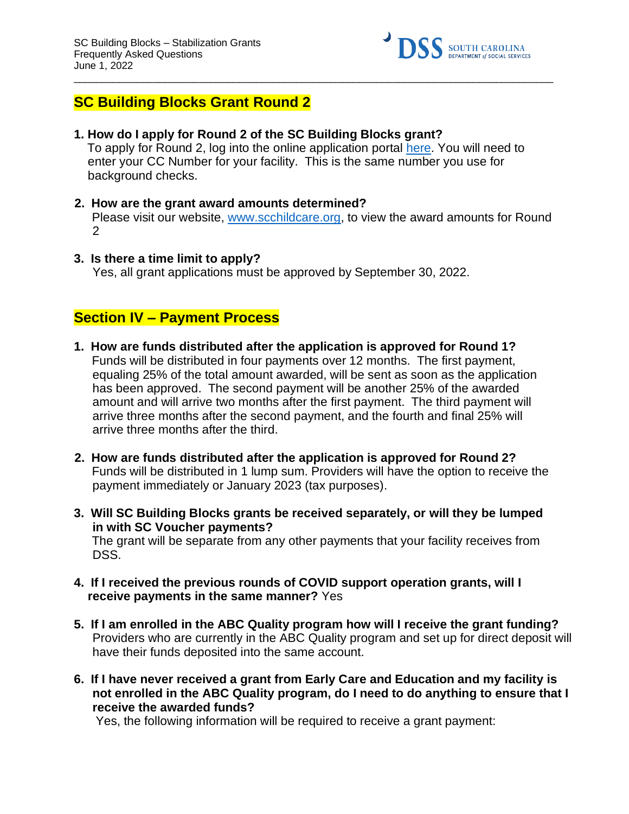

# **SC Building Blocks Grant Round 2**

**1. How do I apply for Round 2 of the SC Building Blocks grant?** 

To apply for Round 2, log into the online application portal [here.](https://providerportal.dss.sc.gov/#/dece/provider-grants/building-blocks) You will need to enter your CC Number for your facility. This is the same number you use for background checks.

 $\_$  ,  $\_$  ,  $\_$  ,  $\_$  ,  $\_$  ,  $\_$  ,  $\_$  ,  $\_$  ,  $\_$  ,  $\_$  ,  $\_$  ,  $\_$  ,  $\_$  ,  $\_$  ,  $\_$  ,  $\_$  ,  $\_$  ,  $\_$  ,  $\_$  ,  $\_$  ,  $\_$  ,  $\_$  ,  $\_$  ,  $\_$  ,  $\_$  ,  $\_$  ,  $\_$  ,  $\_$  ,  $\_$  ,  $\_$  ,  $\_$  ,  $\_$  ,  $\_$  ,  $\_$  ,  $\_$  ,  $\_$  ,  $\_$  ,

- **2. How are the grant award amounts determined?**  Please visit our website, [www.scchildcare.org,](http://www.scchildcare.org/) to view the award amounts for Round  $\mathcal{P}$
- **3. Is there a time limit to apply?** Yes, all grant applications must be approved by September 30, 2022.

# **Section IV – Payment Process**

- **1. How are funds distributed after the application is approved for Round 1?**  Funds will be distributed in four payments over 12 months. The first payment, equaling 25% of the total amount awarded, will be sent as soon as the application has been approved. The second payment will be another 25% of the awarded amount and will arrive two months after the first payment. The third payment will arrive three months after the second payment, and the fourth and final 25% will arrive three months after the third.
- **2. How are funds distributed after the application is approved for Round 2?**  Funds will be distributed in 1 lump sum. Providers will have the option to receive the payment immediately or January 2023 (tax purposes).
- **3. Will SC Building Blocks grants be received separately, or will they be lumped in with SC Voucher payments?**  The grant will be separate from any other payments that your facility receives from DSS.
- **4. If I received the previous rounds of COVID support operation grants, will I receive payments in the same manner?** Yes
- **5. If I am enrolled in the ABC Quality program how will I receive the grant funding?**  Providers who are currently in the ABC Quality program and set up for direct deposit will have their funds deposited into the same account.
- **6. If I have never received a grant from Early Care and Education and my facility is not enrolled in the ABC Quality program, do I need to do anything to ensure that I receive the awarded funds?**

Yes, the following information will be required to receive a grant payment: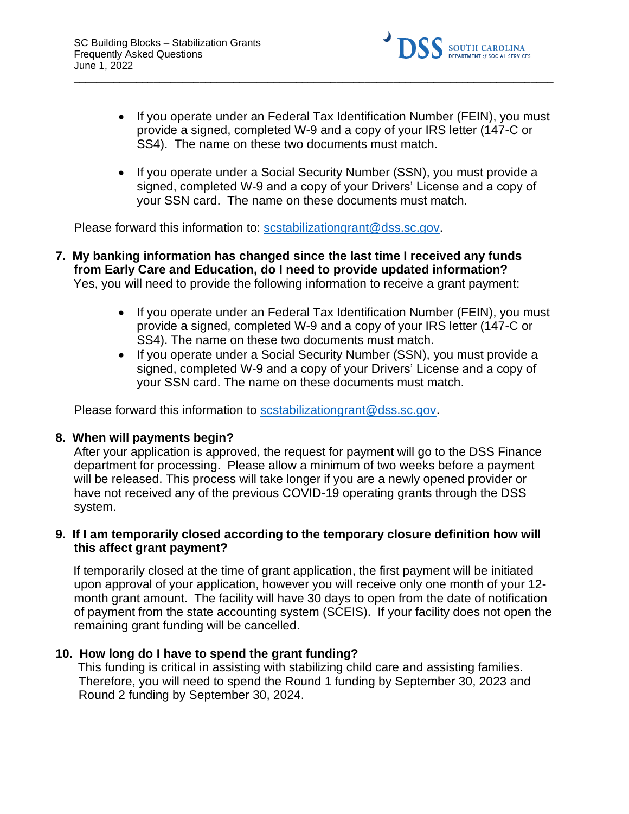

• If you operate under an Federal Tax Identification Number (FEIN), you must provide a signed, completed W-9 and a copy of your IRS letter (147-C or SS4). The name on these two documents must match.

 $\_$  ,  $\_$  ,  $\_$  ,  $\_$  ,  $\_$  ,  $\_$  ,  $\_$  ,  $\_$  ,  $\_$  ,  $\_$  ,  $\_$  ,  $\_$  ,  $\_$  ,  $\_$  ,  $\_$  ,  $\_$  ,  $\_$  ,  $\_$  ,  $\_$  ,  $\_$  ,  $\_$  ,  $\_$  ,  $\_$  ,  $\_$  ,  $\_$  ,  $\_$  ,  $\_$  ,  $\_$  ,  $\_$  ,  $\_$  ,  $\_$  ,  $\_$  ,  $\_$  ,  $\_$  ,  $\_$  ,  $\_$  ,  $\_$  ,

• If you operate under a Social Security Number (SSN), you must provide a signed, completed W-9 and a copy of your Drivers' License and a copy of your SSN card. The name on these documents must match.

Please forward this information to: scstabilizationgrant@dss.sc.gov.

- **7. My banking information has changed since the last time I received any funds from Early Care and Education, do I need to provide updated information?**  Yes, you will need to provide the following information to receive a grant payment:
	- If you operate under an Federal Tax Identification Number (FEIN), you must provide a signed, completed W-9 and a copy of your IRS letter (147-C or SS4). The name on these two documents must match.
	- If you operate under a Social Security Number (SSN), you must provide a signed, completed W-9 and a copy of your Drivers' License and a copy of your SSN card. The name on these documents must match.

Please forward this information to scstabilizationgrant@dss.sc.gov.

### **8. When will payments begin?**

After your application is approved, the request for payment will go to the DSS Finance department for processing. Please allow a minimum of two weeks before a payment will be released. This process will take longer if you are a newly opened provider or have not received any of the previous COVID-19 operating grants through the DSS system.

### **9. If I am temporarily closed according to the temporary closure definition how will this affect grant payment?**

If temporarily closed at the time of grant application, the first payment will be initiated upon approval of your application, however you will receive only one month of your 12 month grant amount. The facility will have 30 days to open from the date of notification of payment from the state accounting system (SCEIS). If your facility does not open the remaining grant funding will be cancelled.

### **10. How long do I have to spend the grant funding?**

This funding is critical in assisting with stabilizing child care and assisting families. Therefore, you will need to spend the Round 1 funding by September 30, 2023 and Round 2 funding by September 30, 2024.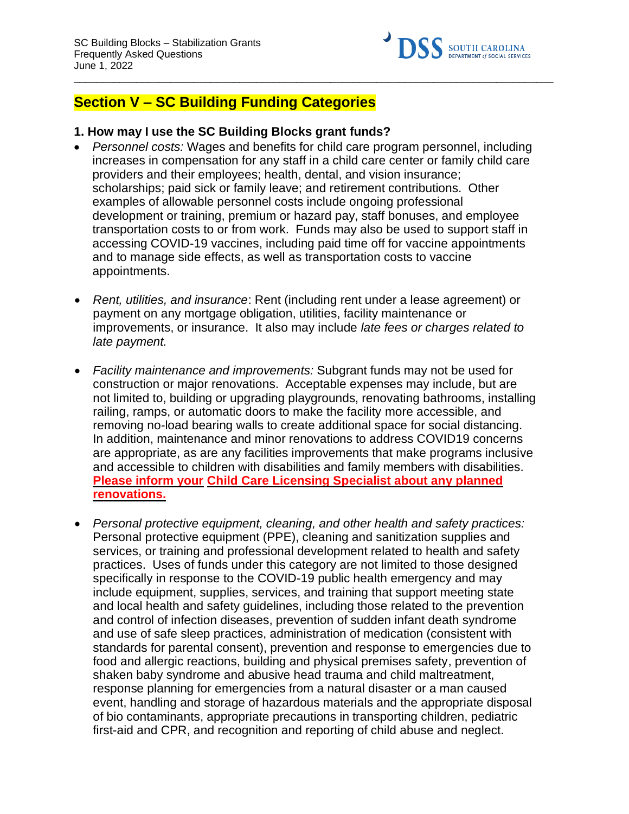

# **Section V – SC Building Funding Categories**

### **1. How may I use the SC Building Blocks grant funds?**

• *Personnel costs:* Wages and benefits for child care program personnel, including increases in compensation for any staff in a child care center or family child care providers and their employees; health, dental, and vision insurance; scholarships; paid sick or family leave; and retirement contributions. Other examples of allowable personnel costs include ongoing professional development or training, premium or hazard pay, staff bonuses, and employee transportation costs to or from work. Funds may also be used to support staff in accessing COVID-19 vaccines, including paid time off for vaccine appointments and to manage side effects, as well as transportation costs to vaccine appointments.

 $\_$  ,  $\_$  ,  $\_$  ,  $\_$  ,  $\_$  ,  $\_$  ,  $\_$  ,  $\_$  ,  $\_$  ,  $\_$  ,  $\_$  ,  $\_$  ,  $\_$  ,  $\_$  ,  $\_$  ,  $\_$  ,  $\_$  ,  $\_$  ,  $\_$  ,  $\_$  ,  $\_$  ,  $\_$  ,  $\_$  ,  $\_$  ,  $\_$  ,  $\_$  ,  $\_$  ,  $\_$  ,  $\_$  ,  $\_$  ,  $\_$  ,  $\_$  ,  $\_$  ,  $\_$  ,  $\_$  ,  $\_$  ,  $\_$  ,

- *Rent, utilities, and insurance*: Rent (including rent under a lease agreement) or payment on any mortgage obligation, utilities, facility maintenance or improvements, or insurance. It also may include *late fees or charges related to late payment.*
- *Facility maintenance and improvements:* Subgrant funds may not be used for construction or major renovations. Acceptable expenses may include, but are not limited to, building or upgrading playgrounds, renovating bathrooms, installing railing, ramps, or automatic doors to make the facility more accessible, and removing no-load bearing walls to create additional space for social distancing. In addition, maintenance and minor renovations to address COVID19 concerns are appropriate, as are any facilities improvements that make programs inclusive and accessible to children with disabilities and family members with disabilities. **Please inform your Child Care Licensing Specialist about any planned renovations.**
- *Personal protective equipment, cleaning, and other health and safety practices:* Personal protective equipment (PPE), cleaning and sanitization supplies and services, or training and professional development related to health and safety practices. Uses of funds under this category are not limited to those designed specifically in response to the COVID-19 public health emergency and may include equipment, supplies, services, and training that support meeting state and local health and safety guidelines, including those related to the prevention and control of infection diseases, prevention of sudden infant death syndrome and use of safe sleep practices, administration of medication (consistent with standards for parental consent), prevention and response to emergencies due to food and allergic reactions, building and physical premises safety, prevention of shaken baby syndrome and abusive head trauma and child maltreatment, response planning for emergencies from a natural disaster or a man caused event, handling and storage of hazardous materials and the appropriate disposal of bio contaminants, appropriate precautions in transporting children, pediatric first-aid and CPR, and recognition and reporting of child abuse and neglect.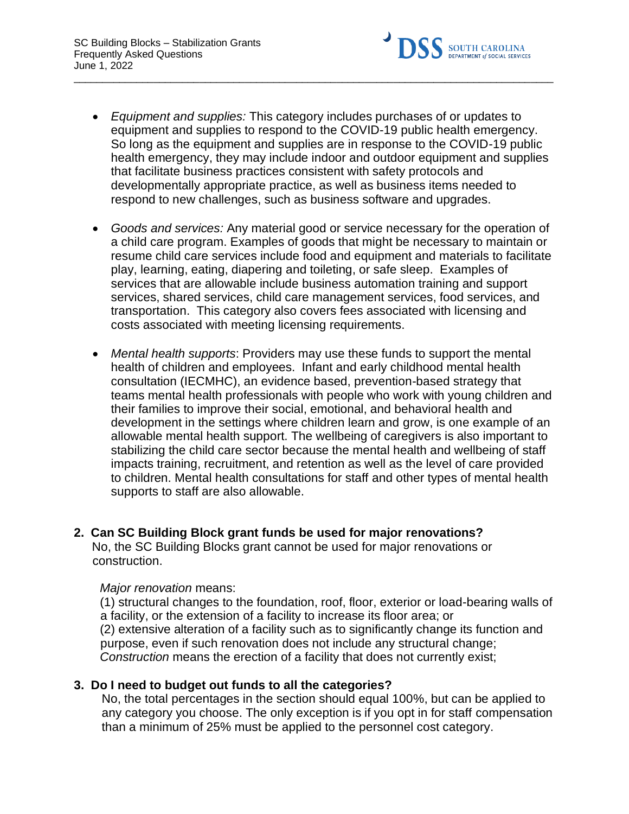

• *Equipment and supplies:* This category includes purchases of or updates to equipment and supplies to respond to the COVID-19 public health emergency. So long as the equipment and supplies are in response to the COVID-19 public health emergency, they may include indoor and outdoor equipment and supplies that facilitate business practices consistent with safety protocols and developmentally appropriate practice, as well as business items needed to respond to new challenges, such as business software and upgrades.

 $\_$  ,  $\_$  ,  $\_$  ,  $\_$  ,  $\_$  ,  $\_$  ,  $\_$  ,  $\_$  ,  $\_$  ,  $\_$  ,  $\_$  ,  $\_$  ,  $\_$  ,  $\_$  ,  $\_$  ,  $\_$  ,  $\_$  ,  $\_$  ,  $\_$  ,  $\_$  ,  $\_$  ,  $\_$  ,  $\_$  ,  $\_$  ,  $\_$  ,  $\_$  ,  $\_$  ,  $\_$  ,  $\_$  ,  $\_$  ,  $\_$  ,  $\_$  ,  $\_$  ,  $\_$  ,  $\_$  ,  $\_$  ,  $\_$  ,

- *Goods and services:* Any material good or service necessary for the operation of a child care program. Examples of goods that might be necessary to maintain or resume child care services include food and equipment and materials to facilitate play, learning, eating, diapering and toileting, or safe sleep. Examples of services that are allowable include business automation training and support services, shared services, child care management services, food services, and transportation. This category also covers fees associated with licensing and costs associated with meeting licensing requirements.
- *Mental health supports*: Providers may use these funds to support the mental health of children and employees. Infant and early childhood mental health consultation (IECMHC), an evidence based, prevention-based strategy that teams mental health professionals with people who work with young children and their families to improve their social, emotional, and behavioral health and development in the settings where children learn and grow, is one example of an allowable mental health support. The wellbeing of caregivers is also important to stabilizing the child care sector because the mental health and wellbeing of staff impacts training, recruitment, and retention as well as the level of care provided to children. Mental health consultations for staff and other types of mental health supports to staff are also allowable.

# **2. Can SC Building Block grant funds be used for major renovations?**

No, the SC Building Blocks grant cannot be used for major renovations or construction.

### *Major renovation* means:

(1) structural changes to the foundation, roof, floor, exterior or load-bearing walls of a facility, or the extension of a facility to increase its floor area; or (2) extensive alteration of a facility such as to significantly change its function and purpose, even if such renovation does not include any structural change; *Construction* means the erection of a facility that does not currently exist;

### **3. Do I need to budget out funds to all the categories?**

No, the total percentages in the section should equal 100%, but can be applied to any category you choose. The only exception is if you opt in for staff compensation than a minimum of 25% must be applied to the personnel cost category.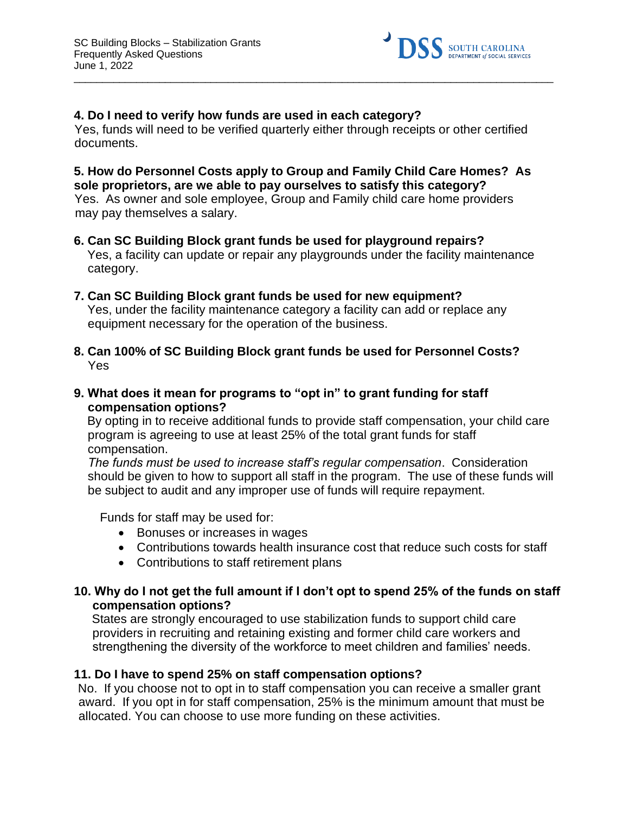

### **4. Do I need to verify how funds are used in each category?**

Yes, funds will need to be verified quarterly either through receipts or other certified documents.

 $\_$  ,  $\_$  ,  $\_$  ,  $\_$  ,  $\_$  ,  $\_$  ,  $\_$  ,  $\_$  ,  $\_$  ,  $\_$  ,  $\_$  ,  $\_$  ,  $\_$  ,  $\_$  ,  $\_$  ,  $\_$  ,  $\_$  ,  $\_$  ,  $\_$  ,  $\_$  ,  $\_$  ,  $\_$  ,  $\_$  ,  $\_$  ,  $\_$  ,  $\_$  ,  $\_$  ,  $\_$  ,  $\_$  ,  $\_$  ,  $\_$  ,  $\_$  ,  $\_$  ,  $\_$  ,  $\_$  ,  $\_$  ,  $\_$  ,

### **5. How do Personnel Costs apply to Group and Family Child Care Homes? As sole proprietors, are we able to pay ourselves to satisfy this category?**  Yes. As owner and sole employee, Group and Family child care home providers

may pay themselves a salary.

- **6. Can SC Building Block grant funds be used for playground repairs?**  Yes, a facility can update or repair any playgrounds under the facility maintenance category.
- **7. Can SC Building Block grant funds be used for new equipment?**  Yes, under the facility maintenance category a facility can add or replace any equipment necessary for the operation of the business.
- **8. Can 100% of SC Building Block grant funds be used for Personnel Costs?**  Yes
- **9. What does it mean for programs to "opt in" to grant funding for staff compensation options?**

By opting in to receive additional funds to provide staff compensation, your child care program is agreeing to use at least 25% of the total grant funds for staff compensation.

*The funds must be used to increase staff's regular compensation*. Consideration should be given to how to support all staff in the program. The use of these funds will be subject to audit and any improper use of funds will require repayment.

Funds for staff may be used for:

- Bonuses or increases in wages
- Contributions towards health insurance cost that reduce such costs for staff
- Contributions to staff retirement plans

### **10. Why do I not get the full amount if I don't opt to spend 25% of the funds on staff compensation options?**

States are strongly encouraged to use stabilization funds to support child care providers in recruiting and retaining existing and former child care workers and strengthening the diversity of the workforce to meet children and families' needs.

### **11. Do I have to spend 25% on staff compensation options?**

No. If you choose not to opt in to staff compensation you can receive a smaller grant award. If you opt in for staff compensation, 25% is the minimum amount that must be allocated. You can choose to use more funding on these activities.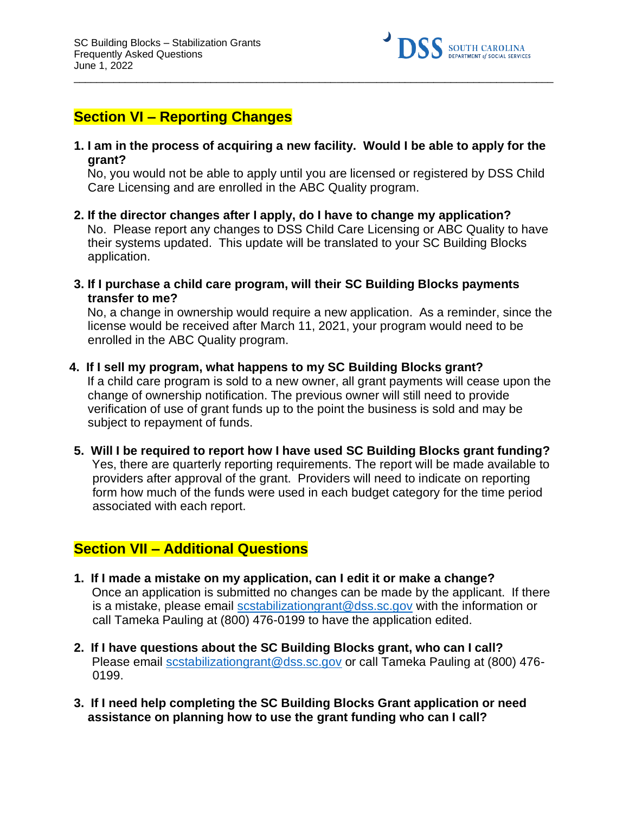

# **Section VI – Reporting Changes**

**1. I am in the process of acquiring a new facility. Would I be able to apply for the grant?** 

 $\_$  ,  $\_$  ,  $\_$  ,  $\_$  ,  $\_$  ,  $\_$  ,  $\_$  ,  $\_$  ,  $\_$  ,  $\_$  ,  $\_$  ,  $\_$  ,  $\_$  ,  $\_$  ,  $\_$  ,  $\_$  ,  $\_$  ,  $\_$  ,  $\_$  ,  $\_$  ,  $\_$  ,  $\_$  ,  $\_$  ,  $\_$  ,  $\_$  ,  $\_$  ,  $\_$  ,  $\_$  ,  $\_$  ,  $\_$  ,  $\_$  ,  $\_$  ,  $\_$  ,  $\_$  ,  $\_$  ,  $\_$  ,  $\_$  ,

No, you would not be able to apply until you are licensed or registered by DSS Child Care Licensing and are enrolled in the ABC Quality program.

- **2. If the director changes after I apply, do I have to change my application?**  No. Please report any changes to DSS Child Care Licensing or ABC Quality to have their systems updated. This update will be translated to your SC Building Blocks application.
- **3. If I purchase a child care program, will their SC Building Blocks payments transfer to me?**

No, a change in ownership would require a new application. As a reminder, since the license would be received after March 11, 2021, your program would need to be enrolled in the ABC Quality program.

- **4. If I sell my program, what happens to my SC Building Blocks grant?**  If a child care program is sold to a new owner, all grant payments will cease upon the change of ownership notification. The previous owner will still need to provide verification of use of grant funds up to the point the business is sold and may be subject to repayment of funds.
- **5. Will I be required to report how I have used SC Building Blocks grant funding?**  Yes, there are quarterly reporting requirements. The report will be made available to providers after approval of the grant. Providers will need to indicate on reporting form how much of the funds were used in each budget category for the time period associated with each report.

# **Section VII – Additional Questions**

- **1. If I made a mistake on my application, can I edit it or make a change?**  Once an application is submitted no changes can be made by the applicant. If there is a mistake, please email scstabilizationgrant@dss.sc.gov with the information or call Tameka Pauling at (800) 476-0199 to have the application edited.
- **2. If I have questions about the SC Building Blocks grant, who can I call?**  Please email scstabilizationgrant@dss.sc.gov or call Tameka Pauling at (800) 476- 0199.
- **3. If I need help completing the SC Building Blocks Grant application or need assistance on planning how to use the grant funding who can I call?**